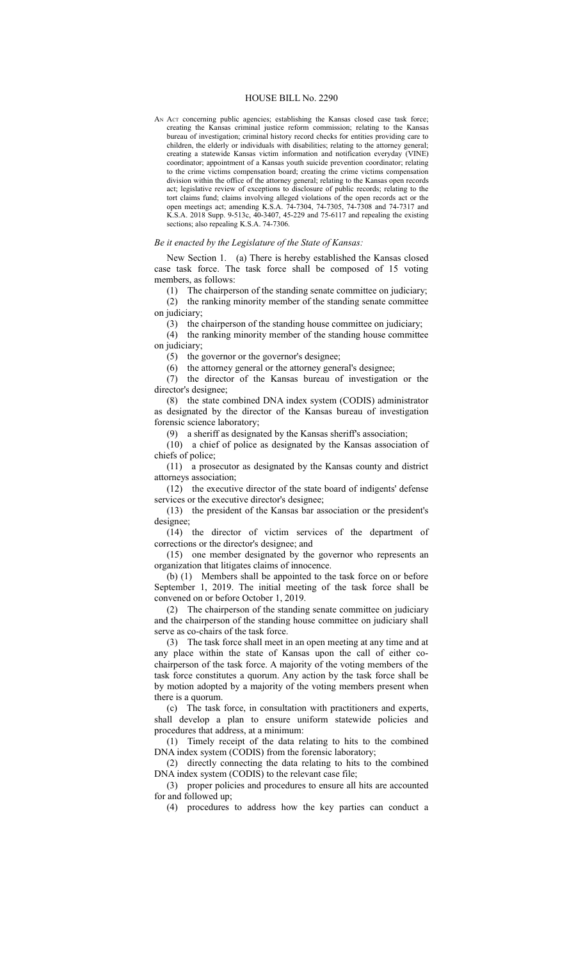## HOUSE BILL No. 2290

AN ACT concerning public agencies; establishing the Kansas closed case task force; creating the Kansas criminal justice reform commission; relating to the Kansas bureau of investigation; criminal history record checks for entities providing care to children, the elderly or individuals with disabilities; relating to the attorney general; creating a statewide Kansas victim information and notification everyday (VINE) coordinator; appointment of a Kansas youth suicide prevention coordinator; relating to the crime victims compensation board; creating the crime victims compensation division within the office of the attorney general; relating to the Kansas open records act; legislative review of exceptions to disclosure of public records; relating to the tort claims fund; claims involving alleged violations of the open records act or the open meetings act; amending K.S.A. 74-7304, 74-7305, 74-7308 and 74-7317 and K.S.A. 2018 Supp. 9-513c, 40-3407, 45-229 and 75-6117 and repealing the existing sections; also repealing K.S.A. 74-7306.

## *Be it enacted by the Legislature of the State of Kansas:*

New Section 1. (a) There is hereby established the Kansas closed case task force. The task force shall be composed of 15 voting members, as follows:

(1) The chairperson of the standing senate committee on judiciary;

(2) the ranking minority member of the standing senate committee on judiciary;

(3) the chairperson of the standing house committee on judiciary;

(4) the ranking minority member of the standing house committee on judiciary;

(5) the governor or the governor's designee;

(6) the attorney general or the attorney general's designee;

(7) the director of the Kansas bureau of investigation or the director's designee;

(8) the state combined DNA index system (CODIS) administrator as designated by the director of the Kansas bureau of investigation forensic science laboratory;

(9) a sheriff as designated by the Kansas sheriff's association;

(10) a chief of police as designated by the Kansas association of chiefs of police;

(11) a prosecutor as designated by the Kansas county and district attorneys association;

(12) the executive director of the state board of indigents' defense services or the executive director's designee;

(13) the president of the Kansas bar association or the president's designee;

(14) the director of victim services of the department of corrections or the director's designee; and

(15) one member designated by the governor who represents an organization that litigates claims of innocence.

(b) (1) Members shall be appointed to the task force on or before September 1, 2019. The initial meeting of the task force shall be convened on or before October 1, 2019.

(2) The chairperson of the standing senate committee on judiciary and the chairperson of the standing house committee on judiciary shall serve as co-chairs of the task force.

(3) The task force shall meet in an open meeting at any time and at any place within the state of Kansas upon the call of either cochairperson of the task force. A majority of the voting members of the task force constitutes a quorum. Any action by the task force shall be by motion adopted by a majority of the voting members present when there is a quorum.

(c) The task force, in consultation with practitioners and experts, shall develop a plan to ensure uniform statewide policies and procedures that address, at a minimum:

(1) Timely receipt of the data relating to hits to the combined DNA index system (CODIS) from the forensic laboratory;

(2) directly connecting the data relating to hits to the combined DNA index system (CODIS) to the relevant case file;

(3) proper policies and procedures to ensure all hits are accounted for and followed up;

(4) procedures to address how the key parties can conduct a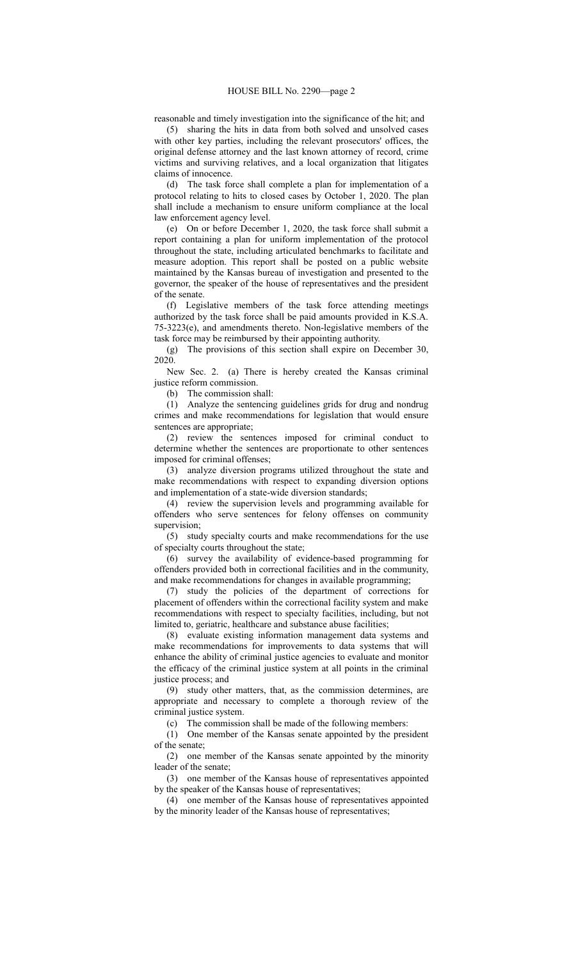reasonable and timely investigation into the significance of the hit; and

(5) sharing the hits in data from both solved and unsolved cases with other key parties, including the relevant prosecutors' offices, the original defense attorney and the last known attorney of record, crime victims and surviving relatives, and a local organization that litigates claims of innocence.

(d) The task force shall complete a plan for implementation of a protocol relating to hits to closed cases by October 1, 2020. The plan shall include a mechanism to ensure uniform compliance at the local law enforcement agency level.

(e) On or before December 1, 2020, the task force shall submit a report containing a plan for uniform implementation of the protocol throughout the state, including articulated benchmarks to facilitate and measure adoption. This report shall be posted on a public website maintained by the Kansas bureau of investigation and presented to the governor, the speaker of the house of representatives and the president of the senate.

(f) Legislative members of the task force attending meetings authorized by the task force shall be paid amounts provided in K.S.A. 75-3223(e), and amendments thereto. Non-legislative members of the task force may be reimbursed by their appointing authority.

(g) The provisions of this section shall expire on December 30, 2020.

New Sec. 2. (a) There is hereby created the Kansas criminal justice reform commission.

(b) The commission shall:

(1) Analyze the sentencing guidelines grids for drug and nondrug crimes and make recommendations for legislation that would ensure sentences are appropriate;

(2) review the sentences imposed for criminal conduct to determine whether the sentences are proportionate to other sentences imposed for criminal offenses;

(3) analyze diversion programs utilized throughout the state and make recommendations with respect to expanding diversion options and implementation of a state-wide diversion standards;

(4) review the supervision levels and programming available for offenders who serve sentences for felony offenses on community supervision;

(5) study specialty courts and make recommendations for the use of specialty courts throughout the state;

(6) survey the availability of evidence-based programming for offenders provided both in correctional facilities and in the community, and make recommendations for changes in available programming;

(7) study the policies of the department of corrections for placement of offenders within the correctional facility system and make recommendations with respect to specialty facilities, including, but not limited to, geriatric, healthcare and substance abuse facilities;

(8) evaluate existing information management data systems and make recommendations for improvements to data systems that will enhance the ability of criminal justice agencies to evaluate and monitor the efficacy of the criminal justice system at all points in the criminal justice process; and

(9) study other matters, that, as the commission determines, are appropriate and necessary to complete a thorough review of the criminal justice system.

(c) The commission shall be made of the following members:

(1) One member of the Kansas senate appointed by the president of the senate;

(2) one member of the Kansas senate appointed by the minority leader of the senate;

(3) one member of the Kansas house of representatives appointed by the speaker of the Kansas house of representatives;

(4) one member of the Kansas house of representatives appointed by the minority leader of the Kansas house of representatives;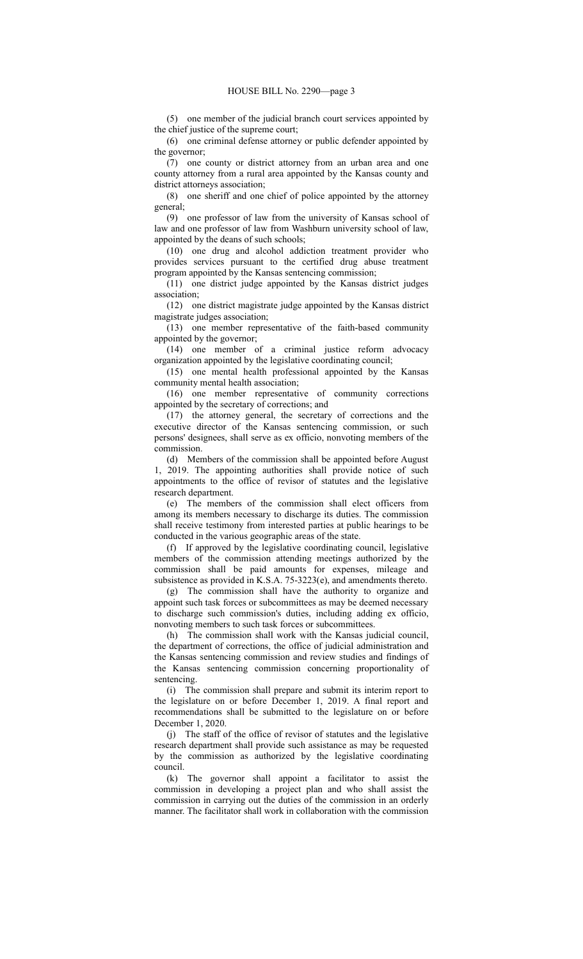(5) one member of the judicial branch court services appointed by the chief justice of the supreme court;

(6) one criminal defense attorney or public defender appointed by the governor;

(7) one county or district attorney from an urban area and one county attorney from a rural area appointed by the Kansas county and district attorneys association;

(8) one sheriff and one chief of police appointed by the attorney general;

(9) one professor of law from the university of Kansas school of law and one professor of law from Washburn university school of law, appointed by the deans of such schools;

(10) one drug and alcohol addiction treatment provider who provides services pursuant to the certified drug abuse treatment program appointed by the Kansas sentencing commission;

(11) one district judge appointed by the Kansas district judges association;

(12) one district magistrate judge appointed by the Kansas district magistrate judges association;

(13) one member representative of the faith-based community appointed by the governor;

(14) one member of a criminal justice reform advocacy organization appointed by the legislative coordinating council;

(15) one mental health professional appointed by the Kansas community mental health association;

(16) one member representative of community corrections appointed by the secretary of corrections; and

(17) the attorney general, the secretary of corrections and the executive director of the Kansas sentencing commission, or such persons' designees, shall serve as ex officio, nonvoting members of the commission.

(d) Members of the commission shall be appointed before August 1, 2019. The appointing authorities shall provide notice of such appointments to the office of revisor of statutes and the legislative research department.

(e) The members of the commission shall elect officers from among its members necessary to discharge its duties. The commission shall receive testimony from interested parties at public hearings to be conducted in the various geographic areas of the state.

(f) If approved by the legislative coordinating council, legislative members of the commission attending meetings authorized by the commission shall be paid amounts for expenses, mileage and subsistence as provided in K.S.A. 75-3223(e), and amendments thereto.

(g) The commission shall have the authority to organize and appoint such task forces or subcommittees as may be deemed necessary to discharge such commission's duties, including adding ex officio, nonvoting members to such task forces or subcommittees.

(h) The commission shall work with the Kansas judicial council, the department of corrections, the office of judicial administration and the Kansas sentencing commission and review studies and findings of the Kansas sentencing commission concerning proportionality of sentencing.

(i) The commission shall prepare and submit its interim report to the legislature on or before December 1, 2019. A final report and recommendations shall be submitted to the legislature on or before December 1, 2020.

(j) The staff of the office of revisor of statutes and the legislative research department shall provide such assistance as may be requested by the commission as authorized by the legislative coordinating council.

(k) The governor shall appoint a facilitator to assist the commission in developing a project plan and who shall assist the commission in carrying out the duties of the commission in an orderly manner. The facilitator shall work in collaboration with the commission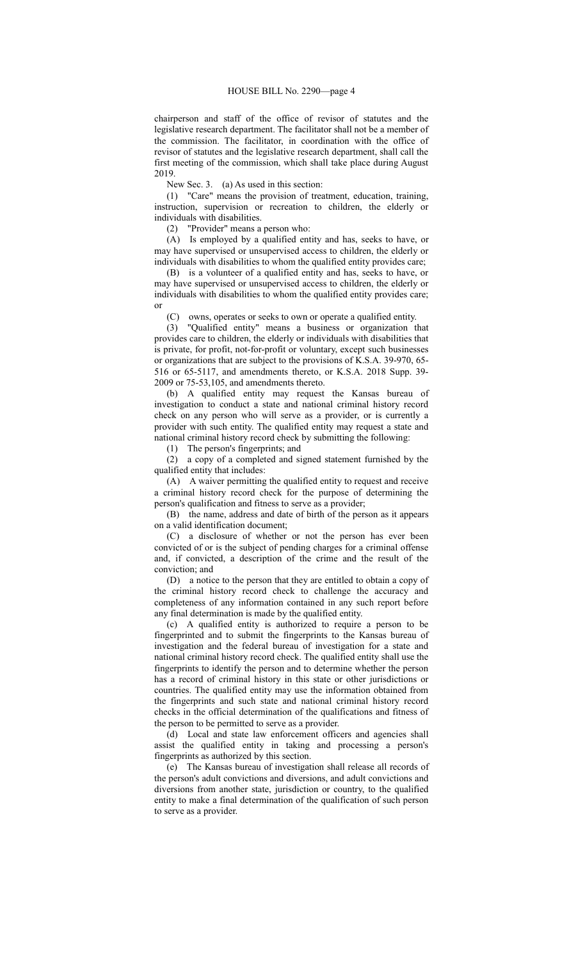chairperson and staff of the office of revisor of statutes and the legislative research department. The facilitator shall not be a member of the commission. The facilitator, in coordination with the office of revisor of statutes and the legislative research department, shall call the first meeting of the commission, which shall take place during August 2019.

New Sec. 3. (a) As used in this section:

(1) "Care" means the provision of treatment, education, training, instruction, supervision or recreation to children, the elderly or individuals with disabilities.

(2) "Provider" means a person who:

(A) Is employed by a qualified entity and has, seeks to have, or may have supervised or unsupervised access to children, the elderly or individuals with disabilities to whom the qualified entity provides care;

(B) is a volunteer of a qualified entity and has, seeks to have, or may have supervised or unsupervised access to children, the elderly or individuals with disabilities to whom the qualified entity provides care; or

(C) owns, operates or seeks to own or operate a qualified entity.

(3) "Qualified entity" means a business or organization that provides care to children, the elderly or individuals with disabilities that is private, for profit, not-for-profit or voluntary, except such businesses or organizations that are subject to the provisions of K.S.A. 39-970, 65- 516 or 65-5117, and amendments thereto, or K.S.A. 2018 Supp. 39- 2009 or 75-53,105, and amendments thereto.

(b) A qualified entity may request the Kansas bureau of investigation to conduct a state and national criminal history record check on any person who will serve as a provider, or is currently a provider with such entity. The qualified entity may request a state and national criminal history record check by submitting the following:

(1) The person's fingerprints; and

(2) a copy of a completed and signed statement furnished by the qualified entity that includes:

(A) A waiver permitting the qualified entity to request and receive a criminal history record check for the purpose of determining the person's qualification and fitness to serve as a provider;

(B) the name, address and date of birth of the person as it appears on a valid identification document;

(C) a disclosure of whether or not the person has ever been convicted of or is the subject of pending charges for a criminal offense and, if convicted, a description of the crime and the result of the conviction; and

(D) a notice to the person that they are entitled to obtain a copy of the criminal history record check to challenge the accuracy and completeness of any information contained in any such report before any final determination is made by the qualified entity.

(c) A qualified entity is authorized to require a person to be fingerprinted and to submit the fingerprints to the Kansas bureau of investigation and the federal bureau of investigation for a state and national criminal history record check. The qualified entity shall use the fingerprints to identify the person and to determine whether the person has a record of criminal history in this state or other jurisdictions or countries. The qualified entity may use the information obtained from the fingerprints and such state and national criminal history record checks in the official determination of the qualifications and fitness of the person to be permitted to serve as a provider.

(d) Local and state law enforcement officers and agencies shall assist the qualified entity in taking and processing a person's fingerprints as authorized by this section.

(e) The Kansas bureau of investigation shall release all records of the person's adult convictions and diversions, and adult convictions and diversions from another state, jurisdiction or country, to the qualified entity to make a final determination of the qualification of such person to serve as a provider.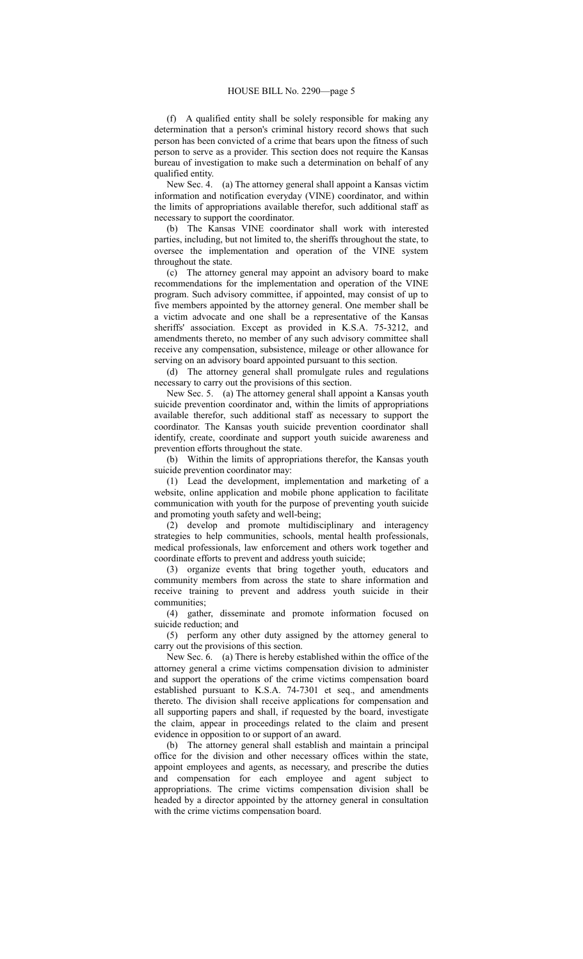(f) A qualified entity shall be solely responsible for making any determination that a person's criminal history record shows that such person has been convicted of a crime that bears upon the fitness of such person to serve as a provider. This section does not require the Kansas bureau of investigation to make such a determination on behalf of any qualified entity.

New Sec. 4. (a) The attorney general shall appoint a Kansas victim information and notification everyday (VINE) coordinator, and within the limits of appropriations available therefor, such additional staff as necessary to support the coordinator.

(b) The Kansas VINE coordinator shall work with interested parties, including, but not limited to, the sheriffs throughout the state, to oversee the implementation and operation of the VINE system throughout the state.

(c) The attorney general may appoint an advisory board to make recommendations for the implementation and operation of the VINE program. Such advisory committee, if appointed, may consist of up to five members appointed by the attorney general. One member shall be a victim advocate and one shall be a representative of the Kansas sheriffs' association. Except as provided in K.S.A. 75-3212, and amendments thereto, no member of any such advisory committee shall receive any compensation, subsistence, mileage or other allowance for serving on an advisory board appointed pursuant to this section.

(d) The attorney general shall promulgate rules and regulations necessary to carry out the provisions of this section.

New Sec. 5. (a) The attorney general shall appoint a Kansas youth suicide prevention coordinator and, within the limits of appropriations available therefor, such additional staff as necessary to support the coordinator. The Kansas youth suicide prevention coordinator shall identify, create, coordinate and support youth suicide awareness and prevention efforts throughout the state.

(b) Within the limits of appropriations therefor, the Kansas youth suicide prevention coordinator may:

(1) Lead the development, implementation and marketing of a website, online application and mobile phone application to facilitate communication with youth for the purpose of preventing youth suicide and promoting youth safety and well-being;

(2) develop and promote multidisciplinary and interagency strategies to help communities, schools, mental health professionals, medical professionals, law enforcement and others work together and coordinate efforts to prevent and address youth suicide;

(3) organize events that bring together youth, educators and community members from across the state to share information and receive training to prevent and address youth suicide in their communities;

(4) gather, disseminate and promote information focused on suicide reduction; and

(5) perform any other duty assigned by the attorney general to carry out the provisions of this section.

New Sec. 6. (a) There is hereby established within the office of the attorney general a crime victims compensation division to administer and support the operations of the crime victims compensation board established pursuant to K.S.A. 74-7301 et seq., and amendments thereto. The division shall receive applications for compensation and all supporting papers and shall, if requested by the board, investigate the claim, appear in proceedings related to the claim and present evidence in opposition to or support of an award.

(b) The attorney general shall establish and maintain a principal office for the division and other necessary offices within the state, appoint employees and agents, as necessary, and prescribe the duties and compensation for each employee and agent subject to appropriations. The crime victims compensation division shall be headed by a director appointed by the attorney general in consultation with the crime victims compensation board.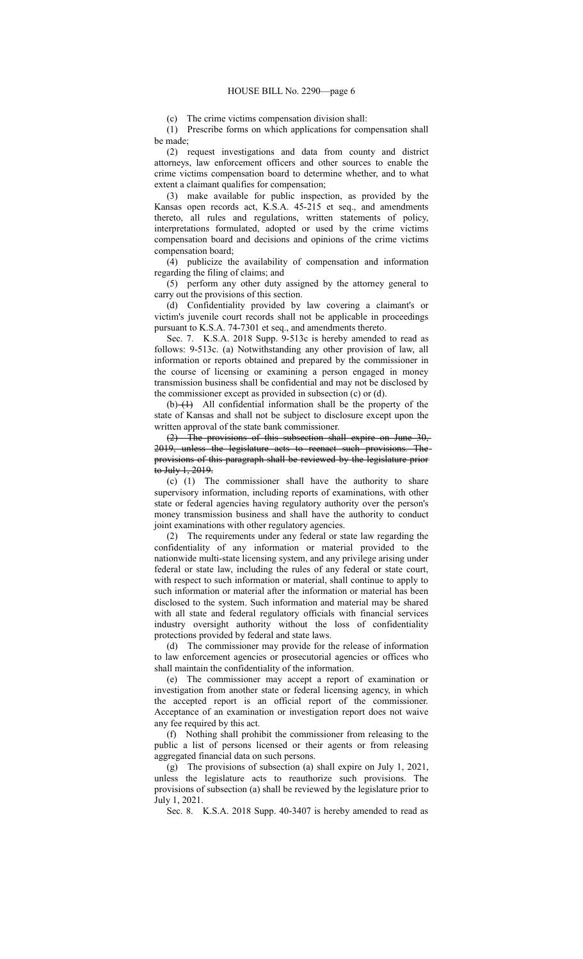(c) The crime victims compensation division shall:

(1) Prescribe forms on which applications for compensation shall be made;

(2) request investigations and data from county and district attorneys, law enforcement officers and other sources to enable the crime victims compensation board to determine whether, and to what extent a claimant qualifies for compensation;

(3) make available for public inspection, as provided by the Kansas open records act, K.S.A. 45-215 et seq., and amendments thereto, all rules and regulations, written statements of policy, interpretations formulated, adopted or used by the crime victims compensation board and decisions and opinions of the crime victims compensation board;

(4) publicize the availability of compensation and information regarding the filing of claims; and

(5) perform any other duty assigned by the attorney general to carry out the provisions of this section.

(d) Confidentiality provided by law covering a claimant's or victim's juvenile court records shall not be applicable in proceedings pursuant to K.S.A. 74-7301 et seq., and amendments thereto.

Sec. 7. K.S.A. 2018 Supp. 9-513c is hereby amended to read as follows: 9-513c. (a) Notwithstanding any other provision of law, all information or reports obtained and prepared by the commissioner in the course of licensing or examining a person engaged in money transmission business shall be confidential and may not be disclosed by the commissioner except as provided in subsection (c) or (d).

 $(b)$   $(b)$  All confidential information shall be the property of the state of Kansas and shall not be subject to disclosure except upon the written approval of the state bank commissioner.

(2) The provisions of this subsection shall expire on June 30, 2019, unless the legislature acts to reenact such provisions. The provisions of this paragraph shall be reviewed by the legislature prior to July 1, 2019.

(c) (1) The commissioner shall have the authority to share supervisory information, including reports of examinations, with other state or federal agencies having regulatory authority over the person's money transmission business and shall have the authority to conduct joint examinations with other regulatory agencies.

(2) The requirements under any federal or state law regarding the confidentiality of any information or material provided to the nationwide multi-state licensing system, and any privilege arising under federal or state law, including the rules of any federal or state court, with respect to such information or material, shall continue to apply to such information or material after the information or material has been disclosed to the system. Such information and material may be shared with all state and federal regulatory officials with financial services industry oversight authority without the loss of confidentiality protections provided by federal and state laws.

(d) The commissioner may provide for the release of information to law enforcement agencies or prosecutorial agencies or offices who shall maintain the confidentiality of the information.

(e) The commissioner may accept a report of examination or investigation from another state or federal licensing agency, in which the accepted report is an official report of the commissioner. Acceptance of an examination or investigation report does not waive any fee required by this act.

(f) Nothing shall prohibit the commissioner from releasing to the public a list of persons licensed or their agents or from releasing aggregated financial data on such persons.

(g) The provisions of subsection (a) shall expire on July 1, 2021, unless the legislature acts to reauthorize such provisions. The provisions of subsection (a) shall be reviewed by the legislature prior to July 1, 2021.

Sec. 8. K.S.A. 2018 Supp. 40-3407 is hereby amended to read as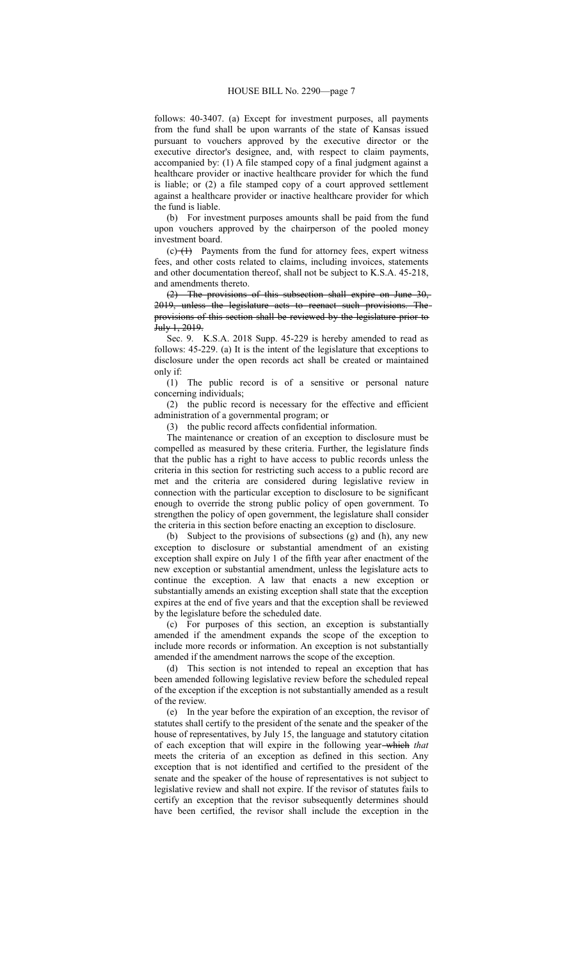follows: 40-3407. (a) Except for investment purposes, all payments from the fund shall be upon warrants of the state of Kansas issued pursuant to vouchers approved by the executive director or the executive director's designee, and, with respect to claim payments, accompanied by: (1) A file stamped copy of a final judgment against a healthcare provider or inactive healthcare provider for which the fund is liable; or (2) a file stamped copy of a court approved settlement against a healthcare provider or inactive healthcare provider for which the fund is liable.

(b) For investment purposes amounts shall be paid from the fund upon vouchers approved by the chairperson of the pooled money investment board.

 $(c)$  (c)  $(1)$  Payments from the fund for attorney fees, expert witness fees, and other costs related to claims, including invoices, statements and other documentation thereof, shall not be subject to K.S.A. 45-218, and amendments thereto.

(2) The provisions of this subsection shall expire on June 30, 2019, unless the legislature acts to reenact such provisions. The provisions of this section shall be reviewed by the legislature prior to July 1, 2019.

Sec. 9. K.S.A. 2018 Supp. 45-229 is hereby amended to read as follows: 45-229. (a) It is the intent of the legislature that exceptions to disclosure under the open records act shall be created or maintained only if:

(1) The public record is of a sensitive or personal nature concerning individuals;

(2) the public record is necessary for the effective and efficient administration of a governmental program; or

(3) the public record affects confidential information.

The maintenance or creation of an exception to disclosure must be compelled as measured by these criteria. Further, the legislature finds that the public has a right to have access to public records unless the criteria in this section for restricting such access to a public record are met and the criteria are considered during legislative review in connection with the particular exception to disclosure to be significant enough to override the strong public policy of open government. To strengthen the policy of open government, the legislature shall consider the criteria in this section before enacting an exception to disclosure.

(b) Subject to the provisions of subsections (g) and (h), any new exception to disclosure or substantial amendment of an existing exception shall expire on July 1 of the fifth year after enactment of the new exception or substantial amendment, unless the legislature acts to continue the exception. A law that enacts a new exception or substantially amends an existing exception shall state that the exception expires at the end of five years and that the exception shall be reviewed by the legislature before the scheduled date.

(c) For purposes of this section, an exception is substantially amended if the amendment expands the scope of the exception to include more records or information. An exception is not substantially amended if the amendment narrows the scope of the exception.

(d) This section is not intended to repeal an exception that has been amended following legislative review before the scheduled repeal of the exception if the exception is not substantially amended as a result of the review.

(e) In the year before the expiration of an exception, the revisor of statutes shall certify to the president of the senate and the speaker of the house of representatives, by July 15, the language and statutory citation of each exception that will expire in the following year which *that* meets the criteria of an exception as defined in this section. Any exception that is not identified and certified to the president of the senate and the speaker of the house of representatives is not subject to legislative review and shall not expire. If the revisor of statutes fails to certify an exception that the revisor subsequently determines should have been certified, the revisor shall include the exception in the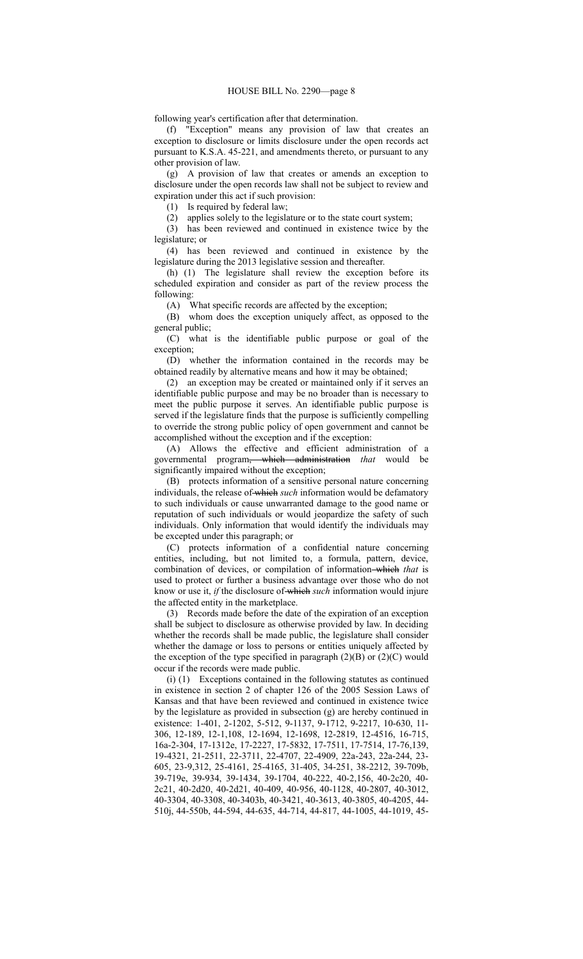following year's certification after that determination.

(f) "Exception" means any provision of law that creates an exception to disclosure or limits disclosure under the open records act pursuant to K.S.A. 45-221, and amendments thereto, or pursuant to any other provision of law.

(g) A provision of law that creates or amends an exception to disclosure under the open records law shall not be subject to review and expiration under this act if such provision:

(1) Is required by federal law;

(2) applies solely to the legislature or to the state court system;

(3) has been reviewed and continued in existence twice by the legislature; or

(4) has been reviewed and continued in existence by the legislature during the 2013 legislative session and thereafter.

(h) (1) The legislature shall review the exception before its scheduled expiration and consider as part of the review process the following:

(A) What specific records are affected by the exception;

(B) whom does the exception uniquely affect, as opposed to the general public;

(C) what is the identifiable public purpose or goal of the exception;

(D) whether the information contained in the records may be obtained readily by alternative means and how it may be obtained;

(2) an exception may be created or maintained only if it serves an identifiable public purpose and may be no broader than is necessary to meet the public purpose it serves. An identifiable public purpose is served if the legislature finds that the purpose is sufficiently compelling to override the strong public policy of open government and cannot be accomplished without the exception and if the exception:

(A) Allows the effective and efficient administration of a governmental program, which administration *that* would be significantly impaired without the exception;

(B) protects information of a sensitive personal nature concerning individuals, the release of which *such* information would be defamatory to such individuals or cause unwarranted damage to the good name or reputation of such individuals or would jeopardize the safety of such individuals. Only information that would identify the individuals may be excepted under this paragraph; or

(C) protects information of a confidential nature concerning entities, including, but not limited to, a formula, pattern, device, combination of devices, or compilation of information which *that* is used to protect or further a business advantage over those who do not know or use it, *if* the disclosure of which *such* information would injure the affected entity in the marketplace.

(3) Records made before the date of the expiration of an exception shall be subject to disclosure as otherwise provided by law. In deciding whether the records shall be made public, the legislature shall consider whether the damage or loss to persons or entities uniquely affected by the exception of the type specified in paragraph  $(2)(B)$  or  $(2)(C)$  would occur if the records were made public.

(i) (1) Exceptions contained in the following statutes as continued in existence in section 2 of chapter 126 of the 2005 Session Laws of Kansas and that have been reviewed and continued in existence twice by the legislature as provided in subsection (g) are hereby continued in existence: 1-401, 2-1202, 5-512, 9-1137, 9-1712, 9-2217, 10-630, 11- 306, 12-189, 12-1,108, 12-1694, 12-1698, 12-2819, 12-4516, 16-715, 16a-2-304, 17-1312e, 17-2227, 17-5832, 17-7511, 17-7514, 17-76,139, 19-4321, 21-2511, 22-3711, 22-4707, 22-4909, 22a-243, 22a-244, 23- 605, 23-9,312, 25-4161, 25-4165, 31-405, 34-251, 38-2212, 39-709b, 39-719e, 39-934, 39-1434, 39-1704, 40-222, 40-2,156, 40-2c20, 40- 2c21, 40-2d20, 40-2d21, 40-409, 40-956, 40-1128, 40-2807, 40-3012, 40-3304, 40-3308, 40-3403b, 40-3421, 40-3613, 40-3805, 40-4205, 44- 510j, 44-550b, 44-594, 44-635, 44-714, 44-817, 44-1005, 44-1019, 45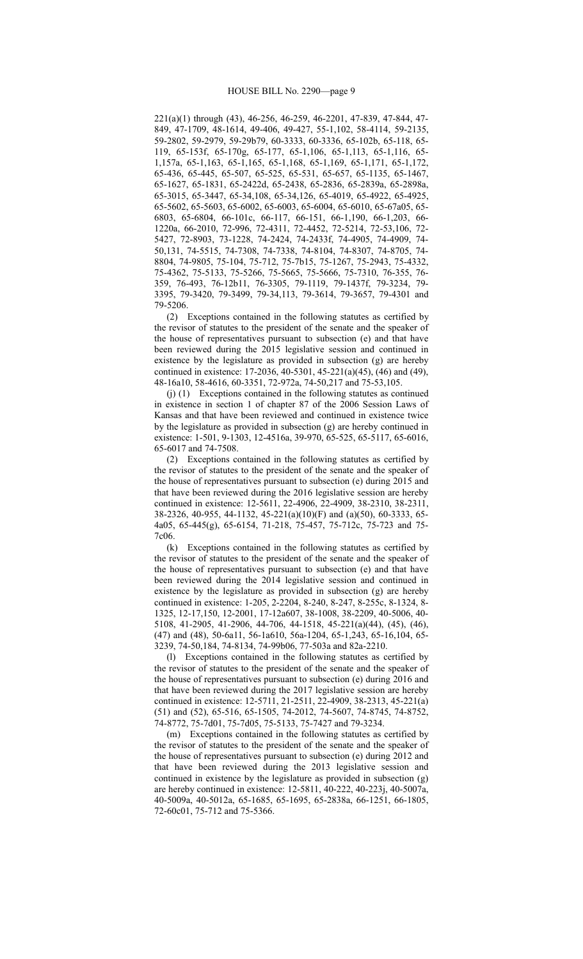221(a)(1) through (43), 46-256, 46-259, 46-2201, 47-839, 47-844, 47- 849, 47-1709, 48-1614, 49-406, 49-427, 55-1,102, 58-4114, 59-2135, 59-2802, 59-2979, 59-29b79, 60-3333, 60-3336, 65-102b, 65-118, 65- 119, 65-153f, 65-170g, 65-177, 65-1,106, 65-1,113, 65-1,116, 65- 1,157a, 65-1,163, 65-1,165, 65-1,168, 65-1,169, 65-1,171, 65-1,172, 65-436, 65-445, 65-507, 65-525, 65-531, 65-657, 65-1135, 65-1467, 65-1627, 65-1831, 65-2422d, 65-2438, 65-2836, 65-2839a, 65-2898a, 65-3015, 65-3447, 65-34,108, 65-34,126, 65-4019, 65-4922, 65-4925, 65-5602, 65-5603, 65-6002, 65-6003, 65-6004, 65-6010, 65-67a05, 65- 6803, 65-6804, 66-101c, 66-117, 66-151, 66-1,190, 66-1,203, 66- 1220a, 66-2010, 72-996, 72-4311, 72-4452, 72-5214, 72-53,106, 72- 5427, 72-8903, 73-1228, 74-2424, 74-2433f, 74-4905, 74-4909, 74- 50,131, 74-5515, 74-7308, 74-7338, 74-8104, 74-8307, 74-8705, 74- 8804, 74-9805, 75-104, 75-712, 75-7b15, 75-1267, 75-2943, 75-4332, 75-4362, 75-5133, 75-5266, 75-5665, 75-5666, 75-7310, 76-355, 76- 359, 76-493, 76-12b11, 76-3305, 79-1119, 79-1437f, 79-3234, 79- 3395, 79-3420, 79-3499, 79-34,113, 79-3614, 79-3657, 79-4301 and 79-5206.

(2) Exceptions contained in the following statutes as certified by the revisor of statutes to the president of the senate and the speaker of the house of representatives pursuant to subsection (e) and that have been reviewed during the 2015 legislative session and continued in existence by the legislature as provided in subsection (g) are hereby continued in existence: 17-2036, 40-5301, 45-221(a)(45), (46) and (49), 48-16a10, 58-4616, 60-3351, 72-972a, 74-50,217 and 75-53,105.

(j) (1) Exceptions contained in the following statutes as continued in existence in section 1 of chapter 87 of the 2006 Session Laws of Kansas and that have been reviewed and continued in existence twice by the legislature as provided in subsection (g) are hereby continued in existence: 1-501, 9-1303, 12-4516a, 39-970, 65-525, 65-5117, 65-6016, 65-6017 and 74-7508.

(2) Exceptions contained in the following statutes as certified by the revisor of statutes to the president of the senate and the speaker of the house of representatives pursuant to subsection (e) during 2015 and that have been reviewed during the 2016 legislative session are hereby continued in existence: 12-5611, 22-4906, 22-4909, 38-2310, 38-2311, 38-2326, 40-955, 44-1132, 45-221(a)(10)(F) and (a)(50), 60-3333, 65- 4a05, 65-445(g), 65-6154, 71-218, 75-457, 75-712c, 75-723 and 75- 7c06.

(k) Exceptions contained in the following statutes as certified by the revisor of statutes to the president of the senate and the speaker of the house of representatives pursuant to subsection (e) and that have been reviewed during the 2014 legislative session and continued in existence by the legislature as provided in subsection (g) are hereby continued in existence: 1-205, 2-2204, 8-240, 8-247, 8-255c, 8-1324, 8- 1325, 12-17,150, 12-2001, 17-12a607, 38-1008, 38-2209, 40-5006, 40- 5108, 41-2905, 41-2906, 44-706, 44-1518, 45-221(a)(44), (45), (46), (47) and (48), 50-6a11, 56-1a610, 56a-1204, 65-1,243, 65-16,104, 65- 3239, 74-50,184, 74-8134, 74-99b06, 77-503a and 82a-2210.

(l) Exceptions contained in the following statutes as certified by the revisor of statutes to the president of the senate and the speaker of the house of representatives pursuant to subsection (e) during 2016 and that have been reviewed during the 2017 legislative session are hereby continued in existence: 12-5711, 21-2511, 22-4909, 38-2313, 45-221(a) (51) and (52), 65-516, 65-1505, 74-2012, 74-5607, 74-8745, 74-8752, 74-8772, 75-7d01, 75-7d05, 75-5133, 75-7427 and 79-3234.

(m) Exceptions contained in the following statutes as certified by the revisor of statutes to the president of the senate and the speaker of the house of representatives pursuant to subsection (e) during 2012 and that have been reviewed during the 2013 legislative session and continued in existence by the legislature as provided in subsection (g) are hereby continued in existence: 12-5811, 40-222, 40-223j, 40-5007a, 40-5009a, 40-5012a, 65-1685, 65-1695, 65-2838a, 66-1251, 66-1805, 72-60c01, 75-712 and 75-5366.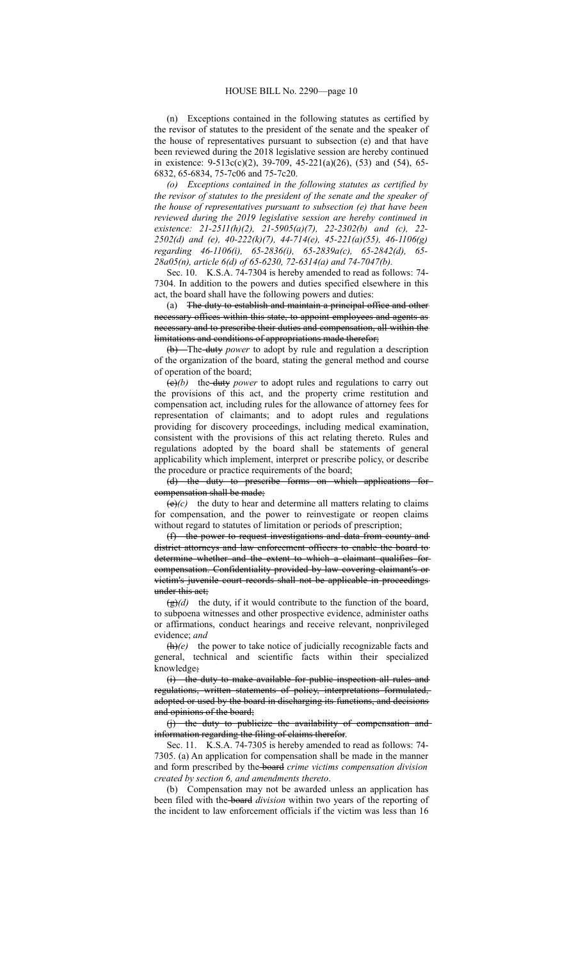(n) Exceptions contained in the following statutes as certified by the revisor of statutes to the president of the senate and the speaker of the house of representatives pursuant to subsection (e) and that have been reviewed during the 2018 legislative session are hereby continued in existence: 9-513c(c)(2), 39-709, 45-221(a)(26), (53) and (54), 65- 6832, 65-6834, 75-7c06 and 75-7c20.

*(o) Exceptions contained in the following statutes as certified by the revisor of statutes to the president of the senate and the speaker of the house of representatives pursuant to subsection (e) that have been reviewed during the 2019 legislative session are hereby continued in existence: 21-2511(h)(2), 21-5905(a)(7), 22-2302(b) and (c), 22- 2502(d) and (e), 40-222(k)(7), 44-714(e), 45-221(a)(55), 46-1106(g) regarding 46-1106(i), 65-2836(i), 65-2839a(c), 65-2842(d), 65- 28a05(n), article 6(d) of 65-6230, 72-6314(a) and 74-7047(b).*

Sec. 10. K.S.A. 74-7304 is hereby amended to read as follows: 74- 7304. In addition to the powers and duties specified elsewhere in this act, the board shall have the following powers and duties:

(a) The duty to establish and maintain a principal office and other necessary offices within this state, to appoint employees and agents as necessary and to prescribe their duties and compensation, all within the limitations and conditions of appropriations made therefor;

(b) The duty *power* to adopt by rule and regulation a description of the organization of the board, stating the general method and course of operation of the board;

(c)*(b)* the duty *power* to adopt rules and regulations to carry out the provisions of this act, and the property crime restitution and compensation act*,* including rules for the allowance of attorney fees for representation of claimants; and to adopt rules and regulations providing for discovery proceedings, including medical examination, consistent with the provisions of this act relating thereto. Rules and regulations adopted by the board shall be statements of general applicability which implement, interpret or prescribe policy, or describe the procedure or practice requirements of the board;

(d) the duty to prescribe forms on which applications for compensation shall be made;

 $(e)(c)$  the duty to hear and determine all matters relating to claims for compensation, and the power to reinvestigate or reopen claims without regard to statutes of limitation or periods of prescription;

(f) the power to request investigations and data from county and district attorneys and law enforcement officers to enable the board to determine whether and the extent to which a claimant qualifies for compensation. Confidentiality provided by law covering claimant's or victim's juvenile court records shall not be applicable in proceedings under this act;

 $(g)(d)$  the duty, if it would contribute to the function of the board, to subpoena witnesses and other prospective evidence, administer oaths or affirmations, conduct hearings and receive relevant, nonprivileged evidence; *and*

 $\frac{h}{e}$  the power to take notice of judicially recognizable facts and general, technical and scientific facts within their specialized knowledge;

(i) the duty to make available for public inspection all rules and regulations, written statements of policy, interpretations formulated, adopted or used by the board in discharging its functions, and decisions and opinions of the board;

(j) the duty to publicize the availability of compensation and information regarding the filing of claims therefor.

Sec. 11. K.S.A. 74-7305 is hereby amended to read as follows: 74- 7305. (a) An application for compensation shall be made in the manner and form prescribed by the board *crime victims compensation division created by section 6, and amendments thereto*.

(b) Compensation may not be awarded unless an application has been filed with the board *division* within two years of the reporting of the incident to law enforcement officials if the victim was less than 16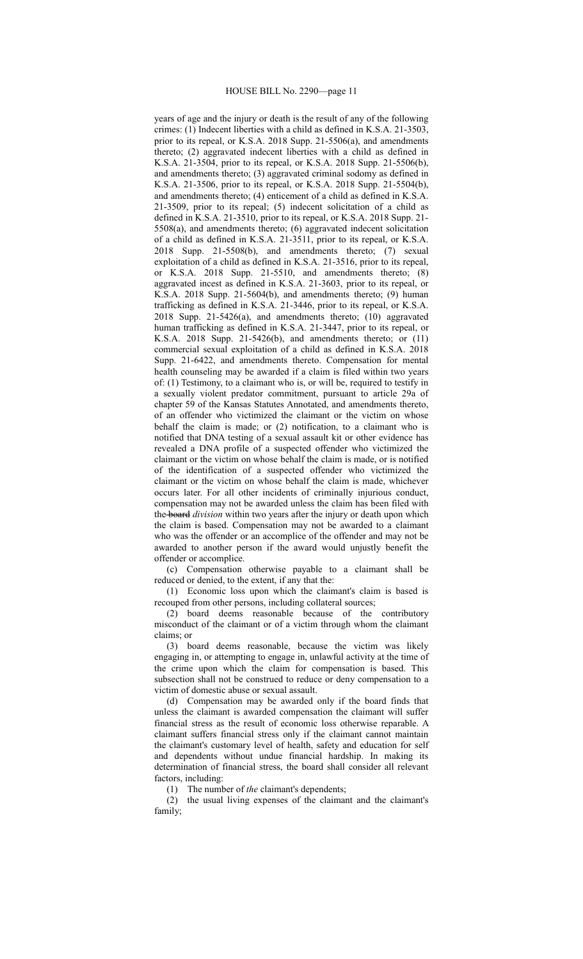years of age and the injury or death is the result of any of the following crimes: (1) Indecent liberties with a child as defined in K.S.A. 21-3503, prior to its repeal, or K.S.A. 2018 Supp. 21-5506(a), and amendments thereto; (2) aggravated indecent liberties with a child as defined in K.S.A. 21-3504, prior to its repeal, or K.S.A. 2018 Supp. 21-5506(b), and amendments thereto; (3) aggravated criminal sodomy as defined in K.S.A. 21-3506, prior to its repeal, or K.S.A. 2018 Supp. 21-5504(b), and amendments thereto; (4) enticement of a child as defined in K.S.A. 21-3509, prior to its repeal; (5) indecent solicitation of a child as defined in K.S.A. 21-3510, prior to its repeal, or K.S.A. 2018 Supp. 21- 5508(a), and amendments thereto; (6) aggravated indecent solicitation of a child as defined in K.S.A. 21-3511, prior to its repeal, or K.S.A. 2018 Supp. 21-5508(b), and amendments thereto; (7) sexual exploitation of a child as defined in K.S.A. 21-3516, prior to its repeal, or K.S.A. 2018 Supp. 21-5510, and amendments thereto; (8) aggravated incest as defined in K.S.A. 21-3603, prior to its repeal, or K.S.A. 2018 Supp. 21-5604(b), and amendments thereto; (9) human trafficking as defined in K.S.A. 21-3446, prior to its repeal, or K.S.A. 2018 Supp. 21-5426(a), and amendments thereto; (10) aggravated human trafficking as defined in K.S.A. 21-3447, prior to its repeal, or K.S.A. 2018 Supp. 21-5426(b), and amendments thereto; or (11) commercial sexual exploitation of a child as defined in K.S.A. 2018 Supp. 21-6422, and amendments thereto. Compensation for mental health counseling may be awarded if a claim is filed within two years of: (1) Testimony, to a claimant who is, or will be, required to testify in a sexually violent predator commitment, pursuant to article 29a of chapter 59 of the Kansas Statutes Annotated, and amendments thereto, of an offender who victimized the claimant or the victim on whose behalf the claim is made; or (2) notification, to a claimant who is notified that DNA testing of a sexual assault kit or other evidence has revealed a DNA profile of a suspected offender who victimized the claimant or the victim on whose behalf the claim is made, or is notified of the identification of a suspected offender who victimized the claimant or the victim on whose behalf the claim is made, whichever occurs later. For all other incidents of criminally injurious conduct, compensation may not be awarded unless the claim has been filed with the board *division* within two years after the injury or death upon which the claim is based. Compensation may not be awarded to a claimant who was the offender or an accomplice of the offender and may not be awarded to another person if the award would unjustly benefit the offender or accomplice.

(c) Compensation otherwise payable to a claimant shall be reduced or denied, to the extent, if any that the:

(1) Economic loss upon which the claimant's claim is based is recouped from other persons, including collateral sources;

(2) board deems reasonable because of the contributory misconduct of the claimant or of a victim through whom the claimant claims; or

(3) board deems reasonable, because the victim was likely engaging in, or attempting to engage in, unlawful activity at the time of the crime upon which the claim for compensation is based. This subsection shall not be construed to reduce or deny compensation to a victim of domestic abuse or sexual assault.

(d) Compensation may be awarded only if the board finds that unless the claimant is awarded compensation the claimant will suffer financial stress as the result of economic loss otherwise reparable. A claimant suffers financial stress only if the claimant cannot maintain the claimant's customary level of health, safety and education for self and dependents without undue financial hardship. In making its determination of financial stress, the board shall consider all relevant factors, including:

(1) The number of *the* claimant's dependents;

(2) the usual living expenses of the claimant and the claimant's family;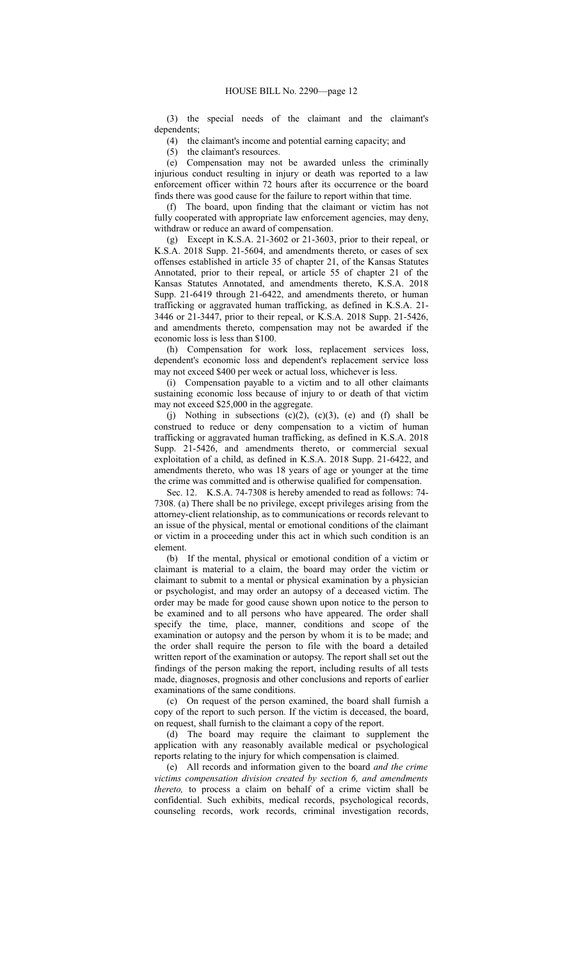(3) the special needs of the claimant and the claimant's dependents;

(4) the claimant's income and potential earning capacity; and

(5) the claimant's resources.

(e) Compensation may not be awarded unless the criminally injurious conduct resulting in injury or death was reported to a law enforcement officer within 72 hours after its occurrence or the board finds there was good cause for the failure to report within that time.

(f) The board, upon finding that the claimant or victim has not fully cooperated with appropriate law enforcement agencies, may deny, withdraw or reduce an award of compensation.

(g) Except in K.S.A. 21-3602 or 21-3603, prior to their repeal, or K.S.A. 2018 Supp. 21-5604, and amendments thereto, or cases of sex offenses established in article 35 of chapter 21, of the Kansas Statutes Annotated, prior to their repeal, or article 55 of chapter 21 of the Kansas Statutes Annotated, and amendments thereto, K.S.A. 2018 Supp. 21-6419 through 21-6422, and amendments thereto, or human trafficking or aggravated human trafficking, as defined in K.S.A. 21- 3446 or 21-3447, prior to their repeal, or K.S.A. 2018 Supp. 21-5426, and amendments thereto, compensation may not be awarded if the economic loss is less than \$100.

(h) Compensation for work loss, replacement services loss, dependent's economic loss and dependent's replacement service loss may not exceed \$400 per week or actual loss, whichever is less.

(i) Compensation payable to a victim and to all other claimants sustaining economic loss because of injury to or death of that victim may not exceed \$25,000 in the aggregate.

(j) Nothing in subsections  $(c)(2)$ ,  $(c)(3)$ ,  $(e)$  and  $(f)$  shall be construed to reduce or deny compensation to a victim of human trafficking or aggravated human trafficking, as defined in K.S.A. 2018 Supp. 21-5426, and amendments thereto, or commercial sexual exploitation of a child, as defined in K.S.A. 2018 Supp. 21-6422, and amendments thereto, who was 18 years of age or younger at the time the crime was committed and is otherwise qualified for compensation.

Sec. 12. K.S.A. 74-7308 is hereby amended to read as follows: 74- 7308. (a) There shall be no privilege, except privileges arising from the attorney-client relationship, as to communications or records relevant to an issue of the physical, mental or emotional conditions of the claimant or victim in a proceeding under this act in which such condition is an element.

(b) If the mental, physical or emotional condition of a victim or claimant is material to a claim, the board may order the victim or claimant to submit to a mental or physical examination by a physician or psychologist, and may order an autopsy of a deceased victim. The order may be made for good cause shown upon notice to the person to be examined and to all persons who have appeared. The order shall specify the time, place, manner, conditions and scope of the examination or autopsy and the person by whom it is to be made; and the order shall require the person to file with the board a detailed written report of the examination or autopsy. The report shall set out the findings of the person making the report, including results of all tests made, diagnoses, prognosis and other conclusions and reports of earlier examinations of the same conditions.

(c) On request of the person examined, the board shall furnish a copy of the report to such person. If the victim is deceased, the board, on request, shall furnish to the claimant a copy of the report.

(d) The board may require the claimant to supplement the application with any reasonably available medical or psychological reports relating to the injury for which compensation is claimed.

(e) All records and information given to the board *and the crime victims compensation division created by section 6, and amendments thereto,* to process a claim on behalf of a crime victim shall be confidential. Such exhibits, medical records, psychological records, counseling records, work records, criminal investigation records,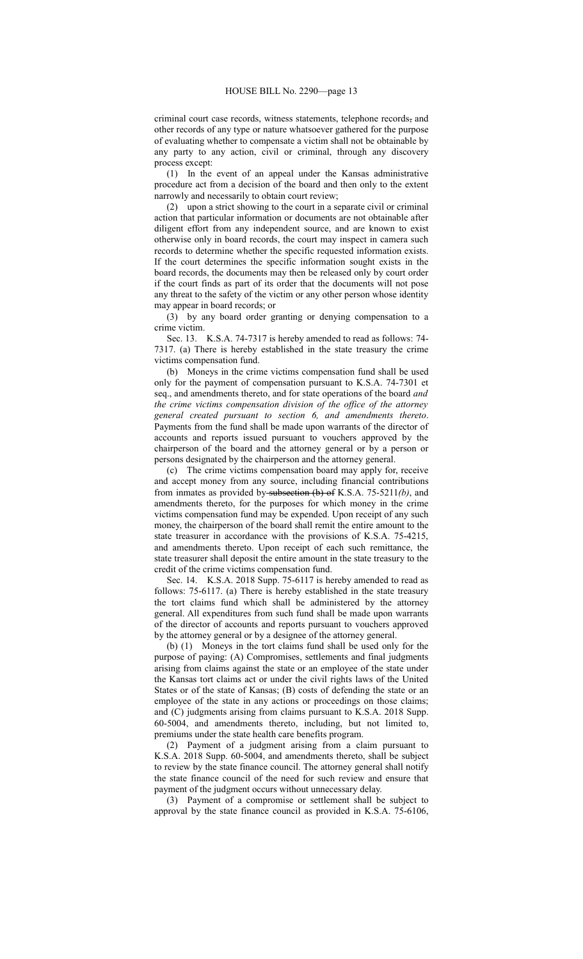criminal court case records, witness statements, telephone records, and other records of any type or nature whatsoever gathered for the purpose of evaluating whether to compensate a victim shall not be obtainable by any party to any action, civil or criminal, through any discovery process except:

(1) In the event of an appeal under the Kansas administrative procedure act from a decision of the board and then only to the extent narrowly and necessarily to obtain court review;

(2) upon a strict showing to the court in a separate civil or criminal action that particular information or documents are not obtainable after diligent effort from any independent source, and are known to exist otherwise only in board records, the court may inspect in camera such records to determine whether the specific requested information exists. If the court determines the specific information sought exists in the board records, the documents may then be released only by court order if the court finds as part of its order that the documents will not pose any threat to the safety of the victim or any other person whose identity may appear in board records; or

(3) by any board order granting or denying compensation to a crime victim.

Sec. 13. K.S.A. 74-7317 is hereby amended to read as follows: 74- 7317. (a) There is hereby established in the state treasury the crime victims compensation fund.

(b) Moneys in the crime victims compensation fund shall be used only for the payment of compensation pursuant to K.S.A. 74-7301 et seq., and amendments thereto, and for state operations of the board *and the crime victims compensation division of the office of the attorney general created pursuant to section 6, and amendments thereto*. Payments from the fund shall be made upon warrants of the director of accounts and reports issued pursuant to vouchers approved by the chairperson of the board and the attorney general or by a person or persons designated by the chairperson and the attorney general.

(c) The crime victims compensation board may apply for, receive and accept money from any source, including financial contributions from inmates as provided by subsection (b) of K.S.A. 75-5211*(b)*, and amendments thereto, for the purposes for which money in the crime victims compensation fund may be expended. Upon receipt of any such money, the chairperson of the board shall remit the entire amount to the state treasurer in accordance with the provisions of K.S.A. 75-4215, and amendments thereto. Upon receipt of each such remittance, the state treasurer shall deposit the entire amount in the state treasury to the credit of the crime victims compensation fund.

Sec. 14. K.S.A. 2018 Supp. 75-6117 is hereby amended to read as follows: 75-6117. (a) There is hereby established in the state treasury the tort claims fund which shall be administered by the attorney general. All expenditures from such fund shall be made upon warrants of the director of accounts and reports pursuant to vouchers approved by the attorney general or by a designee of the attorney general.

(b) (1) Moneys in the tort claims fund shall be used only for the purpose of paying: (A) Compromises, settlements and final judgments arising from claims against the state or an employee of the state under the Kansas tort claims act or under the civil rights laws of the United States or of the state of Kansas; (B) costs of defending the state or an employee of the state in any actions or proceedings on those claims; and (C) judgments arising from claims pursuant to K.S.A. 2018 Supp. 60-5004, and amendments thereto, including, but not limited to, premiums under the state health care benefits program.

(2) Payment of a judgment arising from a claim pursuant to K.S.A. 2018 Supp. 60-5004, and amendments thereto, shall be subject to review by the state finance council. The attorney general shall notify the state finance council of the need for such review and ensure that payment of the judgment occurs without unnecessary delay.

(3) Payment of a compromise or settlement shall be subject to approval by the state finance council as provided in K.S.A. 75-6106,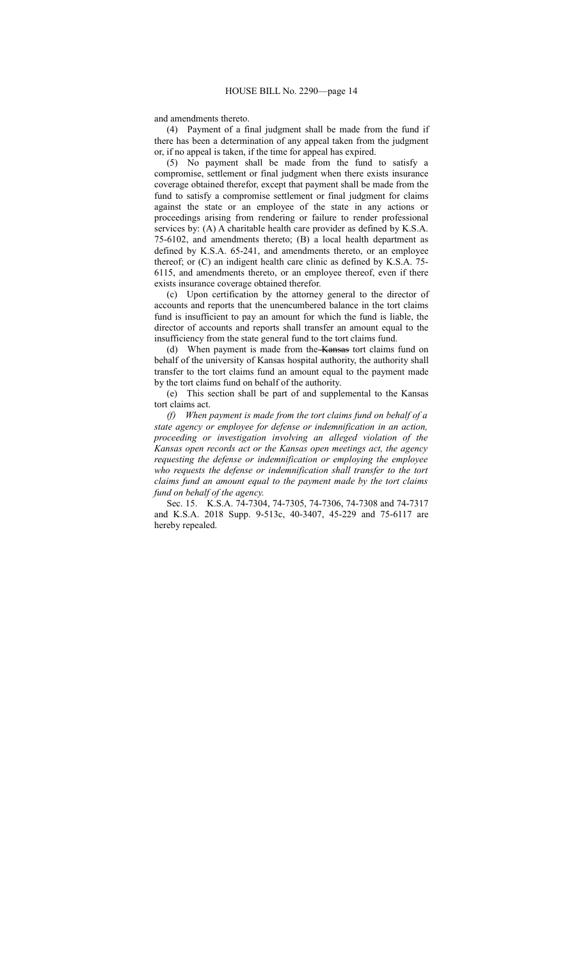and amendments thereto.

(4) Payment of a final judgment shall be made from the fund if there has been a determination of any appeal taken from the judgment or, if no appeal is taken, if the time for appeal has expired.

(5) No payment shall be made from the fund to satisfy a compromise, settlement or final judgment when there exists insurance coverage obtained therefor, except that payment shall be made from the fund to satisfy a compromise settlement or final judgment for claims against the state or an employee of the state in any actions or proceedings arising from rendering or failure to render professional services by: (A) A charitable health care provider as defined by K.S.A. 75-6102, and amendments thereto; (B) a local health department as defined by K.S.A. 65-241, and amendments thereto, or an employee thereof; or (C) an indigent health care clinic as defined by K.S.A. 75- 6115, and amendments thereto, or an employee thereof, even if there exists insurance coverage obtained therefor.

(c) Upon certification by the attorney general to the director of accounts and reports that the unencumbered balance in the tort claims fund is insufficient to pay an amount for which the fund is liable, the director of accounts and reports shall transfer an amount equal to the insufficiency from the state general fund to the tort claims fund.

(d) When payment is made from the Kansas tort claims fund on behalf of the university of Kansas hospital authority, the authority shall transfer to the tort claims fund an amount equal to the payment made by the tort claims fund on behalf of the authority.

(e) This section shall be part of and supplemental to the Kansas tort claims act.

*(f) When payment is made from the tort claims fund on behalf of a state agency or employee for defense or indemnification in an action, proceeding or investigation involving an alleged violation of the Kansas open records act or the Kansas open meetings act, the agency requesting the defense or indemnification or employing the employee who requests the defense or indemnification shall transfer to the tort claims fund an amount equal to the payment made by the tort claims fund on behalf of the agency.*

Sec. 15. K.S.A. 74-7304, 74-7305, 74-7306, 74-7308 and 74-7317 and K.S.A. 2018 Supp. 9-513c, 40-3407, 45-229 and 75-6117 are hereby repealed.